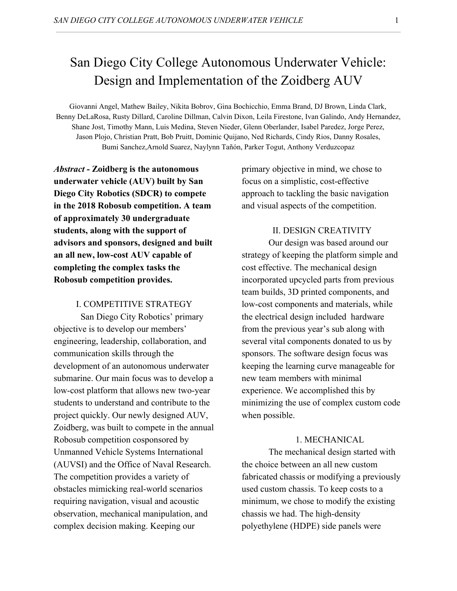# San Diego City College Autonomous Underwater Vehicle: Design and Implementation of the Zoidberg AUV

Giovanni Angel, Mathew Bailey, Nikita Bobrov, Gina Bochicchio, Emma Brand, DJ Brown, Linda Clark, Benny DeLaRosa, Rusty Dillard, Caroline Dillman, Calvin Dixon, Leila Firestone, Ivan Galindo, Andy Hernandez, Shane Jost, Timothy Mann, Luis Medina, Steven Nieder, Glenn Oberlander, Isabel Paredez, Jorge Perez, Jason Plojo, Christian Pratt, Bob Pruitt, Dominic Quijano, Ned Richards, Cindy Rios, Danny Rosales, Bumi Sanchez,Arnold Suarez, Naylynn Tañón, Parker Togut, Anthony Verduzcopaz

*Abstract -* **Zoidberg is the autonomous underwater vehicle (AUV) built by San Diego City Robotics (SDCR) to compete in the 2018 Robosub competition. A team of approximately 30 undergraduate students, along with the support of advisors and sponsors, designed and built an all new, low-cost AUV capable of completing the complex tasks the Robosub competition provides.**

## I. COMPETITIVE STRATEGY

San Diego City Robotics' primary objective is to develop our members' engineering, leadership, collaboration, and communication skills through the development of an autonomous underwater submarine. Our main focus was to develop a low-cost platform that allows new two-year students to understand and contribute to the project quickly. Our newly designed AUV, Zoidberg, was built to compete in the annual Robosub competition cosponsored by Unmanned Vehicle Systems International (AUVSI) and the Office of Naval Research. The competition provides a variety of obstacles mimicking real-world scenarios requiring navigation, visual and acoustic observation, mechanical manipulation, and complex decision making. Keeping our

primary objective in mind, we chose to focus on a simplistic, cost-effective approach to tackling the basic navigation and visual aspects of the competition.

## II. DESIGN CREATIVITY

Our design was based around our strategy of keeping the platform simple and cost effective. The mechanical design incorporated upcycled parts from previous team builds, 3D printed components, and low-cost components and materials, while the electrical design included hardware from the previous year's sub along with several vital components donated to us by sponsors. The software design focus was keeping the learning curve manageable for new team members with minimal experience. We accomplished this by minimizing the use of complex custom code when possible.

## 1. MECHANICAL

The mechanical design started with the choice between an all new custom fabricated chassis or modifying a previously used custom chassis. To keep costs to a minimum, we chose to modify the existing chassis we had. The high-density polyethylene (HDPE) side panels were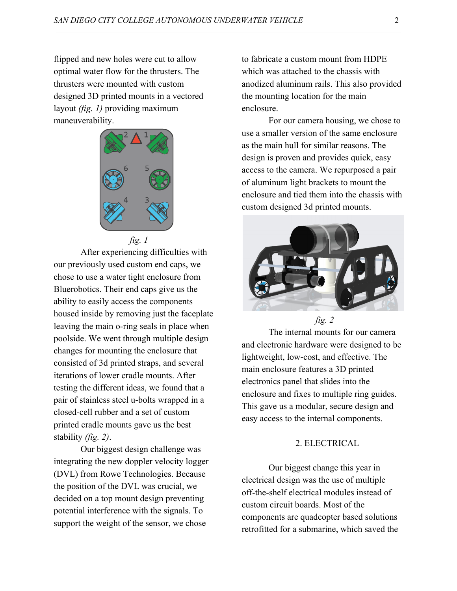flipped and new holes were cut to allow optimal water flow for the thrusters. The thrusters were mounted with custom designed 3D printed mounts in a vectored layout *(fig. 1)* providing maximum maneuverability.



 *fig. 1*

After experiencing difficulties with our previously used custom end caps, we chose to use a water tight enclosure from Bluerobotics. Their end caps give us the ability to easily access the components housed inside by removing just the faceplate leaving the main o-ring seals in place when poolside. We went through multiple design changes for mounting the enclosure that consisted of 3d printed straps, and several iterations of lower cradle mounts. After testing the different ideas, we found that a pair of stainless steel u-bolts wrapped in a closed-cell rubber and a set of custom printed cradle mounts gave us the best stability *(fig. 2)*.

Our biggest design challenge was integrating the new doppler velocity logger (DVL) from Rowe Technologies. Because the position of the DVL was crucial, we decided on a top mount design preventing potential interference with the signals. To support the weight of the sensor, we chose

to fabricate a custom mount from HDPE which was attached to the chassis with anodized aluminum rails. This also provided the mounting location for the main enclosure.

For our camera housing, we chose to use a smaller version of the same enclosure as the main hull for similar reasons. The design is proven and provides quick, easy access to the camera. We repurposed a pair of aluminum light brackets to mount the enclosure and tied them into the chassis with custom designed 3d printed mounts.



*fig. 2*

The internal mounts for our camera and electronic hardware were designed to be lightweight, low-cost, and effective. The main enclosure features a 3D printed electronics panel that slides into the enclosure and fixes to multiple ring guides. This gave us a modular, secure design and easy access to the internal components.

## 2. ELECTRICAL

Our biggest change this year in electrical design was the use of multiple off-the-shelf electrical modules instead of custom circuit boards. Most of the components are quadcopter based solutions retrofitted for a submarine, which saved the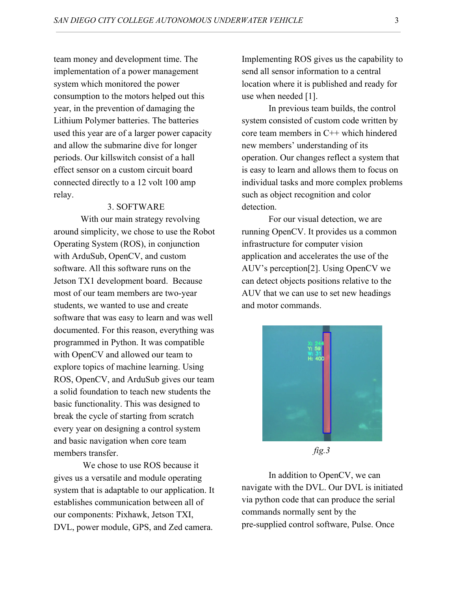team money and development time. The implementation of a power management system which monitored the power consumption to the motors helped out this year, in the prevention of damaging the Lithium Polymer batteries. The batteries used this year are of a larger power capacity and allow the submarine dive for longer periods. Our killswitch consist of a hall effect sensor on a custom circuit board connected directly to a 12 volt 100 amp relay.

### 3. SOFTWARE

With our main strategy revolving around simplicity, we chose to use the Robot Operating System (ROS), in conjunction with ArduSub, OpenCV, and custom software. All this software runs on the Jetson TX1 development board. Because most of our team members are two-year students, we wanted to use and create software that was easy to learn and was well documented. For this reason, everything was programmed in Python. It was compatible with OpenCV and allowed our team to explore topics of machine learning. Using ROS, OpenCV, and ArduSub gives our team a solid foundation to teach new students the basic functionality. This was designed to break the cycle of starting from scratch every year on designing a control system and basic navigation when core team members transfer.

 We chose to use ROS because it gives us a versatile and module operating system that is adaptable to our application. It establishes communication between all of our components: Pixhawk, Jetson TXI, DVL, power module, GPS, and Zed camera.

Implementing ROS gives us the capability to send all sensor information to a central location where it is published and ready for use when needed [1].

In previous team builds, the control system consisted of custom code written by core team members in C++ which hindered new members' understanding of its operation. Our changes reflect a system that is easy to learn and allows them to focus on individual tasks and more complex problems such as object recognition and color detection.

For our visual detection, we are running OpenCV. It provides us a common infrastructure for computer vision application and accelerates the use of the AUV's perception[2]. Using OpenCV we can detect objects positions relative to the AUV that we can use to set new headings and motor commands.



*fig.3*

In addition to OpenCV, we can navigate with the DVL. Our DVL is initiated via python code that can produce the serial commands normally sent by the pre-supplied control software, Pulse. Once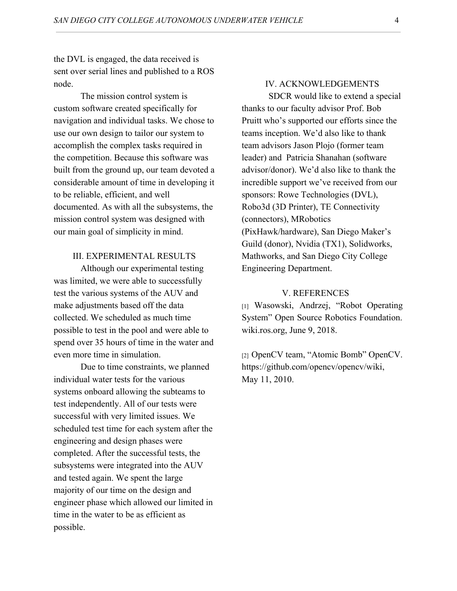the DVL is engaged, the data received is sent over serial lines and published to a ROS node.

The mission control system is custom software created specifically for navigation and individual tasks. We chose to use our own design to tailor our system to accomplish the complex tasks required in the competition. Because this software was built from the ground up, our team devoted a considerable amount of time in developing it to be reliable, efficient, and well documented. As with all the subsystems, the mission control system was designed with our main goal of simplicity in mind.

## III. EXPERIMENTAL RESULTS

Although our experimental testing was limited, we were able to successfully test the various systems of the AUV and make adjustments based off the data collected. We scheduled as much time possible to test in the pool and were able to spend over 35 hours of time in the water and even more time in simulation.

Due to time constraints, we planned individual water tests for the various systems onboard allowing the subteams to test independently. All of our tests were successful with very limited issues. We scheduled test time for each system after the engineering and design phases were completed. After the successful tests, the subsystems were integrated into the AUV and tested again. We spent the large majority of our time on the design and engineer phase which allowed our limited in time in the water to be as efficient as possible.

## IV. ACKNOWLEDGEMENTS

SDCR would like to extend a special thanks to our faculty advisor Prof. Bob Pruitt who's supported our efforts since the teams inception. We'd also like to thank team advisors Jason Plojo (former team leader) and Patricia Shanahan (software advisor/donor). We'd also like to thank the incredible support we've received from our sponsors: Rowe Technologies (DVL), Robo3d (3D Printer), TE Connectivity (connectors), MRobotics (PixHawk/hardware), San Diego Maker's Guild (donor), Nvidia (TX1), Solidworks, Mathworks, and San Diego City College Engineering Department.

#### V. REFERENCES

[1] Wasowski, Andrzej, "Robot Operating System" Open Source Robotics Foundation. wiki.ros.org, June 9, 2018.

[2] OpenCV team, "Atomic Bomb" OpenCV. https://github.com/opencv/opencv/wiki, May 11, 2010.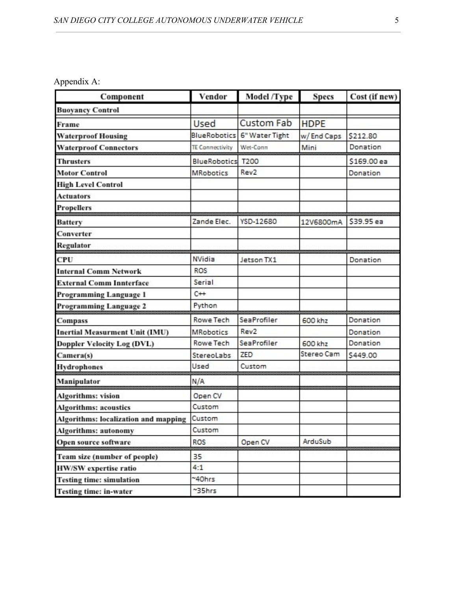Appendix A:

| Component                             | Vendor                 | Model /Type       | <b>Specs</b> | Cost (if new) |
|---------------------------------------|------------------------|-------------------|--------------|---------------|
| <b>Buoyancy Control</b>               |                        |                   |              |               |
| Frame                                 | Used                   | <b>Custom Fab</b> | <b>HDPE</b>  |               |
| <b>Waterproof Housing</b>             | <b>BlueRobotics</b>    | 6" Water Tight    | w/End Caps   | \$212.80      |
| <b>Waterproof Connectors</b>          | <b>TE Connectivity</b> | Wet-Conn          | Mini         | Donation      |
| <b>Thrusters</b>                      | <b>BlueRobotics</b>    | <b>T200</b>       |              | \$169.00 ea   |
| <b>Motor Control</b>                  | <b>MRobotics</b>       | Rev <sub>2</sub>  |              | Donation      |
| <b>High Level Control</b>             |                        |                   |              |               |
| <b>Actuators</b>                      |                        |                   |              |               |
| <b>Propellers</b>                     |                        |                   |              |               |
| <b>Battery</b>                        | Zande Elec.            | YSD-12680         | 12V6800mA    | \$39.95 ea    |
| Converter                             |                        |                   |              |               |
| <b>Regulator</b>                      |                        |                   |              |               |
| CPU                                   | <b>NVidia</b>          | Jetson TX1        |              | Donation      |
| <b>Internal Comm Network</b>          | <b>ROS</b>             |                   |              |               |
| <b>External Comm Innterface</b>       | Serial                 |                   |              |               |
| Programming Language 1                | $C++$                  |                   |              |               |
| Programming Language 2                | Python                 |                   |              |               |
| <b>Compass</b>                        | <b>Rowe Tech</b>       | SeaProfiler       | 600 khz      | Donation      |
| <b>Inertial Measurment Unit (IMU)</b> | <b>MRobotics</b>       | Rev <sub>2</sub>  |              | Donation      |
| Doppler Velocity Log (DVL)            | <b>Rowe Tech</b>       | SeaProfiler       | 600 khz      | Donation      |
| Camera(s)                             | <b>StereoLabs</b>      | ZED               | Stereo Cam   | \$449.00      |
| <b>Hydrophones</b>                    | Used                   | Custom            |              |               |
| Manipulator                           | N/A                    |                   |              |               |
| <b>Algorithms: vision</b>             | Open CV                |                   |              |               |
| <b>Algorithms: acoustics</b>          | Custom                 |                   |              |               |
| Algorithms: localization and mapping  | Custom                 |                   |              |               |
| <b>Algorithms: autonomy</b>           | Custom                 |                   |              |               |
| Open source software                  | <b>ROS</b>             | Open CV           | ArduSub      |               |
| Team size (number of people)          | 35                     |                   |              |               |
| <b>HW/SW</b> expertise ratio          | 4:1                    |                   |              |               |
| <b>Testing time: simulation</b>       | ~40hrs                 |                   |              |               |
| <b>Testing time: in-water</b>         | ~35hrs                 |                   |              |               |